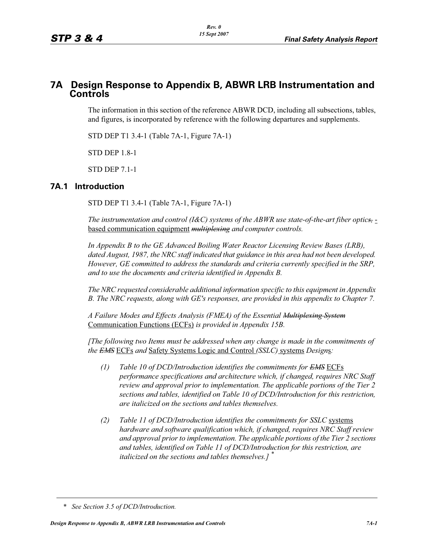# **7A Design Response to Appendix B, ABWR LRB Instrumentation and Controls**

The information in this section of the reference ABWR DCD, including all subsections, tables, and figures, is incorporated by reference with the following departures and supplements.

STD DEP T1 3.4-1 (Table 7A-1, Figure 7A-1)

STD DEP 1.8-1

STD DEP 7.1-1

### **7A.1 Introduction**

STD DEP T1 3.4-1 (Table 7A-1, Figure 7A-1)

*The instrumentation and control (I&C) systems of the ABWR use state-of-the-art fiber optics,* based communication equipment *multiplexing and computer controls.* 

*In Appendix B to the GE Advanced Boiling Water Reactor Licensing Review Bases (LRB), dated August, 1987, the NRC staff indicated that guidance in this area had not been developed. However, GE committed to address the standards and criteria currently specified in the SRP, and to use the documents and criteria identified in Appendix B.*

*The NRC requested considerable additional information specific to this equipment in Appendix B. The NRC requests, along with GE's responses, are provided in this appendix to Chapter 7.*

*A Failure Modes and Effects Analysis (FMEA) of the Essential Multiplexing System* Communication Functions (ECFs) *is provided in Appendix 15B.*

*[The following two Items must be addressed when any change is made in the commitments of the EMS* ECFs *and* Safety Systems Logic and Control *(SSLC)* systems *Design*s*:*

- *(1) Table 10 of DCD/Introduction identifies the commitments for EMS* ECFs *performance specifications and architecture which, if changed, requires NRC Staff review and approval prior to implementation. The applicable portions of the Tier 2 sections and tables, identified on Table 10 of DCD/Introduction for this restriction, are italicized on the sections and tables themselves.*
- *(2) Table 11 of DCD/Introduction identifies the commitments for SSLC* systems *hardware and software qualification which, if changed, requires NRC Staff review and approval prior to implementation. The applicable portions of the Tier 2 sections and tables, identified on Table 11 of DCD/Introduction for this restriction, are italicized on the sections and tables themselves.] \**

*<sup>\*</sup> See Section 3.5 of DCD/Introduction.*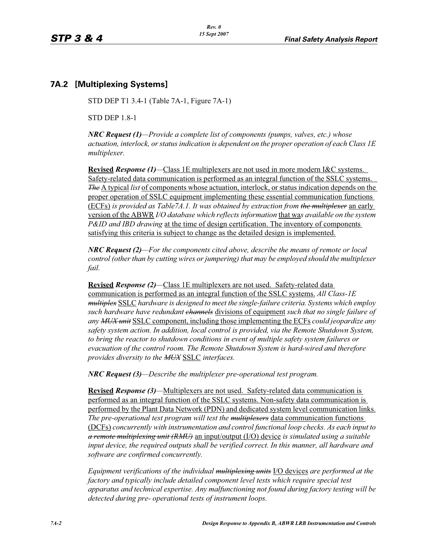## **7A.2 [Multiplexing Systems]**

STD DEP T1 3.4-1 (Table 7A-1, Figure 7A-1)

STD DEP 1.8-1

*NRC Request (1)—Provide a complete list of components (pumps, valves, etc.) whose actuation, interlock, or status indication is dependent on the proper operation of each Class 1E multiplexer.*

**Revised** *Response (1)—*Class 1E multiplexers are not used in more modern I&C systems. Safety-related data communication is performed as an integral function of the SSLC systems. *The* A typical *list* of components whose actuation, interlock, or status indication depends on the proper operation of SSLC equipment implementing these essential communication functions (ECFs) *is provided as Table7A.1. It was obtained by extraction from the multiplexer* an early version of the ABWR *I/O database which reflects information* that wa*s available on the system P&ID and IBD drawing* at the time of design certification. The inventory of components satisfying this criteria is subject to change as the detailed design is implemented.

*NRC Request (2)—For the components cited above, describe the means of remote or local control (other than by cutting wires or jumpering) that may be employed should the multiplexer fail.*

**Revised** *Response (2)—*Class 1E multiplexers are not used. Safety-related data communication is performed as an integral function of the SSLC systems. *All Class-1E multiplex* SSLC *hardware is designed to meet the single-failure criteria. Systems which employ such hardware have redundant channels* divisions of equipment *such that no single failure of any MUX unit* SSLC component, including those implementing the ECFs *could jeopardize any safety system action. In addition, local control is provided, via the Remote Shutdown System, to bring the reactor to shutdown conditions in event of multiple safety system failures or evacuation of the control room. The Remote Shutdown System is hard-wired and therefore provides diversity to the MUX* SSLC *interfaces.*

*NRC Request (3)—Describe the multiplexer pre-operational test program.*

**Revised** *Response (3)—*Multiplexers are not used. Safety-related data communication is performed as an integral function of the SSLC systems. Non-safety data communication is performed by the Plant Data Network (PDN) and dedicated system level communication links. *The pre-operational test program will test the multiplexers* data communication functions (DCFs) *concurrently with instrumentation and control functional loop checks. As each input to a remote multiplexing unit (RMU)* an input/output (I/O) device *is simulated using a suitable input device, the required outputs shall be verified correct. In this manner, all hardware and software are confirmed concurrently.*

*Equipment verifications of the individual multiplexing units* I/O devices *are performed at the factory and typically include detailed component level tests which require special test apparatus and technical expertise. Any malfunctioning not found during factory testing will be detected during pre- operational tests of instrument loops.*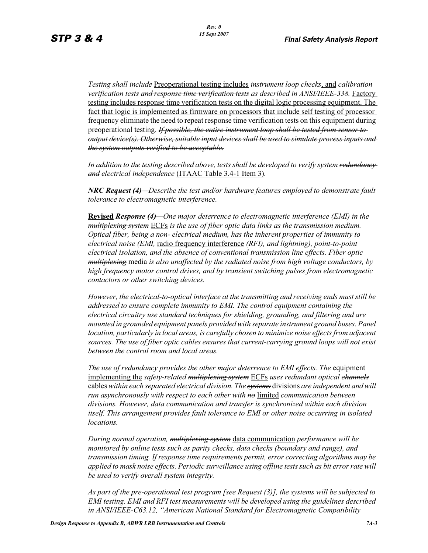*Testing shall include* Preoperational testing includes *instrument loop checks*, and *calibration verification tests and response time verification tests as described in ANSI/IEEE-338.* Factory testing includes response time verification tests on the digital logic processing equipment. The fact that logic is implemented as firmware on processors that include self testing of processor frequency eliminate the need to repeat response time verification tests on this equipment during preoperational testing. *If possible, the entire instrument loop shall be tested from sensor to output device(s). Otherwise, suitable input devices shall be used to simulate process inputs and the system outputs verified to be acceptable.*

*In addition to the testing described above, tests shall be developed to verify system redundancy and electrical independence* (ITAAC Table 3.4-1 Item 3)*.*

*NRC Request (4)—Describe the test and/or hardware features employed to demonstrate fault tolerance to electromagnetic interference.*

**Revised** *Response (4)—One major deterrence to electromagnetic interference (EMI) in the multiplexing system* ECFs *is the use of fiber optic data links as the transmission medium. Optical fiber, being a non- electrical medium, has the inherent properties of immunity to electrical noise (EMI,* radio frequency interference *(RFI), and lightning), point-to-point electrical isolation, and the absence of conventional transmission line effects. Fiber optic multiplexing* media *is also unaffected by the radiated noise from high voltage conductors, by high frequency motor control drives, and by transient switching pulses from electromagnetic contactors or other switching devices.* 

*However, the electrical-to-optical interface at the transmitting and receiving ends must still be addressed to ensure complete immunity to EMI. The control equipment containing the electrical circuitry use standard techniques for shielding, grounding, and filtering and are mounted in grounded equipment panels provided with separate instrument ground buses. Panel location, particularly in local areas, is carefully chosen to minimize noise effects from adjacent sources. The use of fiber optic cables ensures that current-carrying ground loops will not exist between the control room and local areas.* 

The use of redundancy provides the other major deterrence to EMI effects. The equipment implementing the *safety-related multiplexing system* ECFs *uses redundant optical channels* cables *within each separated electrical division. The systems* divisions *are independent and will run asynchronously with respect to each other with no* limited *communication between divisions. However, data communication and transfer is synchronized within each division itself. This arrangement provides fault tolerance to EMI or other noise occurring in isolated locations.* 

*During normal operation, multiplexing system* data communication *performance will be monitored by online tests such as parity checks, data checks (boundary and range), and transmission timing. If response time requirements permit, error correcting algorithms may be applied to mask noise effects. Periodic surveillance using offline tests such as bit error rate will be used to verify overall system integrity.*

*As part of the pre-operational test program [see Request (3)], the systems will be subjected to EMI testing. EMI and RFI test measurements will be developed using the guidelines described in ANSI/IEEE-C63.12, "American National Standard for Electromagnetic Compatibility*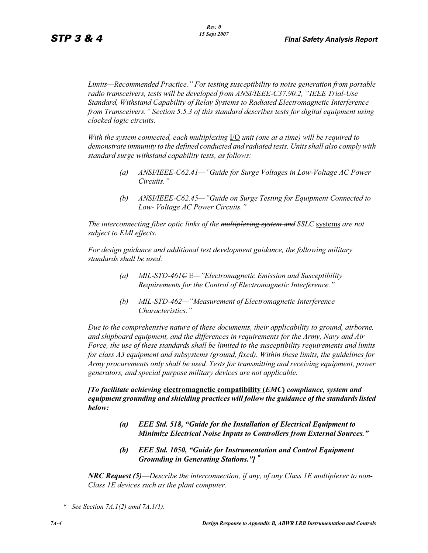*Limits—Recommended Practice." For testing susceptibility to noise generation from portable radio transceivers, tests will be developed from ANSI/IEEE-C37.90.2, "IEEE Trial-Use Standard, Withstand Capability of Relay Systems to Radiated Electromagnetic Interference from Transceivers." Section 5.5.3 of this standard describes tests for digital equipment using clocked logic circuits.*

*With the system connected, each multiplexing* I/O *unit (one at a time) will be required to demonstrate immunity to the defined conducted and radiated tests. Units shall also comply with standard surge withstand capability tests, as follows:*

- *(a) ANSI/IEEE-C62.41—"Guide for Surge Voltages in Low-Voltage AC Power Circuits."*
- *(b) ANSI/IEEE-C62.45—"Guide on Surge Testing for Equipment Connected to Low- Voltage AC Power Circuits."*

*The interconnecting fiber optic links of the multiplexing system and SSLC* systems *are not subject to EMI effects.*

*For design guidance and additional test development guidance, the following military standards shall be used:*

- *(a) MIL-STD-461C* E*—"Electromagnetic Emission and Susceptibility Requirements for the Control of Electromagnetic Interference."*
- *(b) MIL-STD-462—"Measurement of Electromagnetic Interference Characteristics."*

*Due to the comprehensive nature of these documents, their applicability to ground, airborne, and shipboard equipment, and the differences in requirements for the Army, Navy and Air Force, the use of these standards shall be limited to the susceptibility requirements and limits for class A3 equipment and subsystems (ground, fixed). Within these limits, the guidelines for Army procurements only shall be used. Tests for transmitting and receiving equipment, power generators, and special purpose military devices are not applicable.* 

*[To facilitate achieving* **electromagnetic compatibility (***EMC***)** *compliance, system and equipment grounding and shielding practices will follow the guidance of the standards listed below:*

- *(a) EEE Std. 518, "Guide for the Installation of Electrical Equipment to Minimize Electrical Noise Inputs to Controllers from External Sources."*
- *(b) EEE Std. 1050, "Guide for Instrumentation and Control Equipment Grounding in Generating Stations."] \**

*NRC Request (5)*—*Describe the interconnection, if any, of any Class 1E multiplexer to non-Class 1E devices such as the plant computer.* 

*<sup>\*</sup> See Section 7A.1(2) amd 7A.1(1).*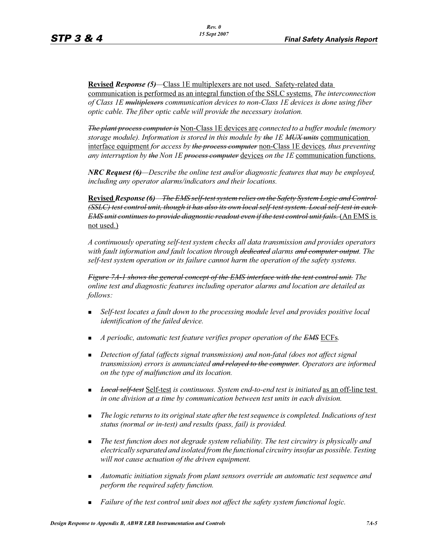**Revised** *Response (5)—*Class 1E multiplexers are not used. Safety-related data communication is performed as an integral function of the SSLC systems. *The interconnection of Class 1E multiplexers communication devices to non-Class 1E devices is done using fiber optic cable. The fiber optic cable will provide the necessary isolation.* 

*The plant process computer is* Non-Class 1E devices are *connected to a buffer module (memory storage module). Information is stored in this module by the 1E MUX units* communication interface equipment *for access by the process computer* non-Class 1E devices*, thus preventing any interruption by the Non 1E process computer* devices *on the 1E* communication functions.

*NRC Request (6)—Describe the online test and/or diagnostic features that may be employed, including any operator alarms/indicators and their locations.* 

**Revised** *Response (6)—The EMS self-test system relies on the Safety System Logic and Control (SSLC) test control unit, though it has also its own local self-test system. Local self-test in each EMS unit continues to provide diagnostic readout even if the test control unit fails.* (An EMS is not used.)

*A continuously operating self-test system checks all data transmission and provides operators with fault information and fault location through dedicated alarms and computer output. The self-test system operation or its failure cannot harm the operation of the safety systems.*

*Figure 7A-1 shows the general concept of the EMS interface with the test control unit. The online test and diagnostic features including operator alarms and location are detailed as follows:*

- - *Self-test locates a fault down to the processing module level and provides positive local identification of the failed device.*
- **A** periodic, automatic test feature verifies proper operation of the **EMS** ECFs.
- - *Detection of fatal (affects signal transmission) and non-fatal (does not affect signal transmission) errors is annunciated and relayed to the computer. Operators are informed on the type of malfunction and its location.*
- - *Local self-test* Self-test *is continuous. System end-to-end test is initiated* as an off-line test *in one division at a time by communication between test units in each division.*
- - *The logic returns to its original state after the test sequence is completed. Indications of test status (normal or in-test) and results (pass, fail) is provided.*
- - *The test function does not degrade system reliability. The test circuitry is physically and electrically separated and isolated from the functional circuitry insofar as possible. Testing will not cause actuation of the driven equipment.*
- - *Automatic initiation signals from plant sensors override an automatic test sequence and perform the required safety function.*
- -*Failure of the test control unit does not affect the safety system functional logic.*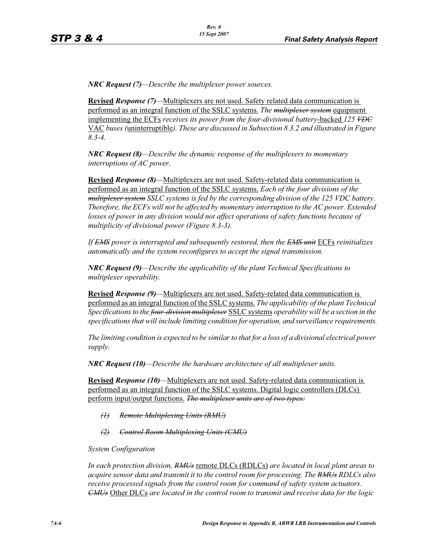*NRC Request (7)—Describe the multiplexer power sources.*

**Revised** *Response (7)—*Multiplexers are not used. Safety related data communication is performed as an integral function of the SSLC systems. *The multiplexer system* equipment implementing the ECFs *receives its power from the four-divisional battery*-backed *125 VDC* VAC *buses (*uninterruptible*). These are discussed in Subsection 8.3.2 and illustrated in Figure 8.3-4.*

*NRC Request (8)—Describe the dynamic response of the multiplexers to momentary interruptions of AC power.*

**Revised** *Response* (8)—Multiplexers are not used. Safety-related data communication is performed as an integral function of the SSLC systems. *Each of the four divisions of the multiplexer system SSLC systems is fed by the corresponding division of the 125 VDC battery. Therefore, the ECFs will not be affected by momentary interruption to the AC power. Extended losses of power in any division would not affect operations of safety functions because of multiplicity of divisional power (Figure 8.3-3).*

*If EMS power is interrupted and subsequently restored, then the EMS unit* ECFs *reinitializes automatically and the system reconfigures to accept the signal transmission.*

*NRC Request (9)—Describe the applicability of the plant Technical Specifications to multiplexer operability.*

**Revised** *Response* (9)—Multiplexers are not used. Safety-related data communication is performed as an integral function of the SSLC systems. *The applicability of the plant Technical Specifications to the four-division multiplexer* SSLC systems *operability will be a section in the specifications that will include limiting condition for operation, and surveillance requirements.*

*The limiting condition is expected to be similar to that for a loss of a divisional electrical power supply.*

*NRC Request (10)—Describe the hardware architecture of all multiplexer units.* 

**Revised** *Response (10)—*Multiplexers are not used. Safety-related data communication is performed as an integral function of the SSLC systems. Digital logic controllers (DLCs) perform input/output functions. *The multiplexer units are of two types:*

- *(1) Remote Multiplexing Units (RMU)*
- *(2) Control Room Multiplexing Units (CMU)*

*System Configuration*

*In each protection division, RMUs* remote DLCs (RDLCs) *are located in local plant areas to acquire sensor data and transmit it to the control room for processing. The RMUs RDLCs also receive processed signals from the control room for command of safety system actuators. CMUs* Other DLCs *are located in the control room to transmit and receive data for the logic*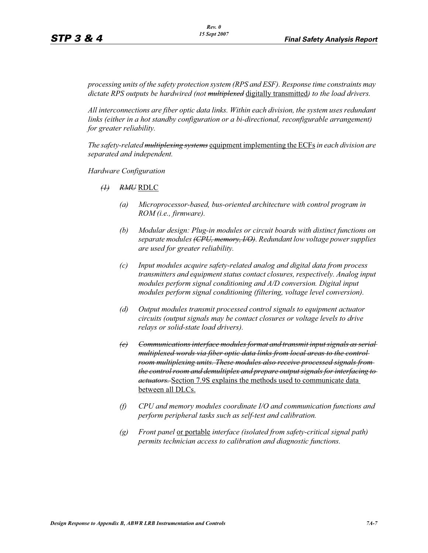*processing units of the safety protection system (RPS and ESF). Response time constraints may dictate RPS outputs be hardwired (not multiplexed* digitally transmitted*) to the load drivers.*

*All interconnections are fiber optic data links. Within each division, the system uses redundant links (either in a hot standby configuration or a bi-directional, reconfigurable arrangement) for greater reliability.*

*The safety-related multiplexing systems* equipment implementing the ECFs *in each division are separated and independent.*

*Hardware Configuration*

- *(1) RMU* RDLC
	- *(a) Microprocessor-based, bus-oriented architecture with control program in ROM (i.e., firmware).*
	- *(b) Modular design: Plug-in modules or circuit boards with distinct functions on separate modules (CPU, memory, I/O). Redundant low voltage power supplies are used for greater reliability.*
	- *(c) Input modules acquire safety-related analog and digital data from process transmitters and equipment status contact closures, respectively. Analog input modules perform signal conditioning and A/D conversion. Digital input modules perform signal conditioning (filtering, voltage level conversion).*
	- *(d) Output modules transmit processed control signals to equipment actuator circuits (output signals may be contact closures or voltage levels to drive relays or solid-state load drivers).*
	- *(e) Communications interface modules format and transmit input signals as serial multiplexed words via fiber optic data links from local areas to the control room multiplexing units. These modules also receive processed signals from the control room and demultiplex and prepare output signals for interfacing to actuators.* Section 7.9S explains the methods used to communicate data between all DLCs.
	- *(f) CPU and memory modules coordinate I/O and communication functions and perform peripheral tasks such as self-test and calibration.*
	- *(g) Front panel* or portable *interface (isolated from safety-critical signal path) permits technician access to calibration and diagnostic functions.*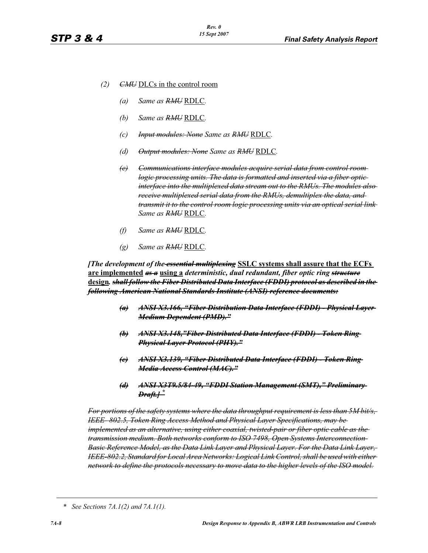- *(2) CMU* DLCs in the control room
	- *(a) Same as RMU* RDLC*.*
	- *(b) Same as RMU* RDLC*.*
	- *(c) Input modules: None Same as RMU* RDLC*.*
	- *(d) Output modules: None Same as RMU* RDLC*.*
	- *(e) Communications interface modules acquire serial data from control room logic processing units. The data is formatted and inserted via a fiber optic interface into the multiplexed data stream out to the RMUs. The modules also receive multiplexed serial data from the RMUs, demultiplex the data, and transmit it to the control room logic processing units via an optical serial link Same as RMU* RDLC*.*
	- *(f) Same as RMU* RDLC*.*
	- *(g) Same as RMU* RDLC*.*

*[The development of the essential multiplexing* **SSLC systems shall assure that the ECFs are implemented** *as a* **using a** *deterministic, dual redundant, fiber optic ring structure* **design***. shall follow the Fiber Distributed Data Interface (FDDI) protocol as described in the following American National Standards Institute (ANSI) reference documents:*

- *(a) ANSI X3.166, "Fiber Distribution Data Interface (FDDI) Physical Layer Medium Dependent (PMD)."*
- *(b) ANSI X3.148,"Fiber Distributed Data Interface (FDDI) Token Ring Physical Layer Protocol (PHY)."*
- *(c) ANSI X3.139, "Fiber Distributed Data Interface (FDDI) Token Ring Media Access Control (MAC)."*
- *(d) ANSI X3T9.5/84-49, "FDDI Station Management (SMT)," Preliminary Draft.] \**

*For portions of the safety systems where the data throughput requirement is less than 5M bit/s, IEEE- 802.5, Token Ring Access Method and Physical Layer Specifications, may be implemented as an alternative, using either coaxial, twisted-pair or fiber optic cable as the transmission medium. Both networks conform to ISO 7498, Open Systems Interconnection-Basic Reference Model, as the Data Link Layer and Physical Layer. For the Data Link Layer, IEEE-802.2, Standard for Local Area Networks: Logical Link Control, shall be used with either network to define the protocols necessary to move data to the higher levels of the ISO model.*

*<sup>\*</sup> See Sections 7A.1(2) and 7A.1(1).*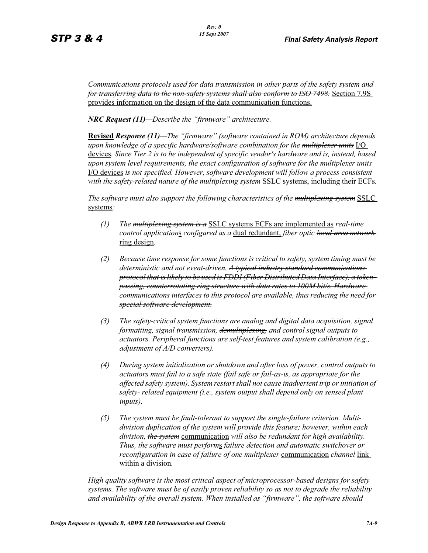*Communications protocols used for data transmission in other parts of the safety system and for transferring data to the non-safety systems shall also conform to ISO 7498.* Section 7.9S provides information on the design of the data communication functions.

*NRC Request (11)—Describe the "firmware" architecture.*

**Revised** *Response (11)—The "firmware" (software contained in ROM) architecture depends upon knowledge of a specific hardware/software combination for the multiplexer units* I/O devices*. Since Tier 2 is to be independent of specific vendor's hardware and is, instead, based upon system level requirements, the exact configuration of software for the multiplexer units*  I/O devices *is not specified. However, software development will follow a process consistent with the safety-related nature of the multiplexing system* SSLC systems, including their ECFs*.*

*The software must also support the following characteristics of the multiplexing system* SSLC systems*:*

- *(1) The multiplexing system is a* SSLC systems ECFs are implemented as *real-time control application*s *configured as a* dual redundant, *fiber optic local area network*  ring design*.*
- *(2) Because time response for some functions is critical to safety, system timing must be deterministic and not event-driven. A typical industry standard communications protocol that is likely to be used is FDDI (Fiber Distributed Data Interface), a tokenpassing, counterrotating ring structure with data rates to 100M bit/s. Hardware communications interfaces to this protocol are available, thus reducing the need for special software development.*
- *(3) The safety-critical system functions are analog and digital data acquisition, signal formatting, signal transmission, demultiplexing, and control signal outputs to actuators. Peripheral functions are self-test features and system calibration (e.g., adjustment of A/D converters).*
- *(4) During system initialization or shutdown and after loss of power, control outputs to actuators must fail to a safe state (fail safe or fail-as-is, as appropriate for the affected safety system). System restart shall not cause inadvertent trip or initiation of safety- related equipment (i.e., system output shall depend only on sensed plant inputs).*
- *(5) The system must be fault-tolerant to support the single-failure criterion. Multidivision duplication of the system will provide this feature; however, within each division, the system* communication *will also be redundant for high availability. Thus, the software must perform*s *failure detection and automatic switchover or reconfiguration in case of failure of one multiplexer* communication *channel* link within a division*.*

*High quality software is the most critical aspect of microprocessor-based designs for safety systems. The software must be of easily proven reliability so as not to degrade the reliability and availability of the overall system. When installed as "firmware", the software should*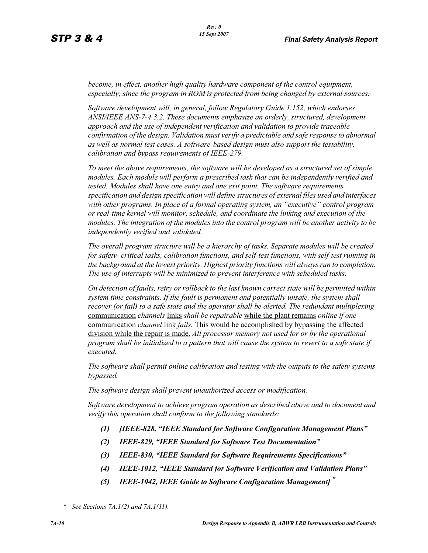*become, in effect, another high quality hardware component of the control equipment,especially, since the program in ROM is protected from being changed by external sources.* 

*Software development will, in general, follow Regulatory Guide 1.152, which endorses ANSI/IEEE ANS-7-4.3.2. These documents emphasize an orderly, structured, development approach and the use of independent verification and validation to provide traceable confirmation of the design. Validation must verify a predictable and safe response to abnormal as well as normal test cases. A software-based design must also support the testability, calibration and bypass requirements of IEEE-279.*

*To meet the above requirements, the software will be developed as a structured set of simple modules. Each module will perform a prescribed task that can be independently verified and tested. Modules shall have one entry and one exit point. The software requirements specification and design specification will define structures of external files used and interfaces with other programs. In place of a formal operating system, an "executive" control program or real-time kernel will monitor, schedule, and coordinate the linking and execution of the modules. The integration of the modules into the control program will be another activity to be independently verified and validated.* 

*The overall program structure will be a hierarchy of tasks. Separate modules will be created for safety- critical tasks, calibration functions, and self-test functions, with self-test running in the background at the lowest priority. Highest priority functions will always run to completion. The use of interrupts will be minimized to prevent interference with scheduled tasks.* 

*On detection of faults, retry or rollback to the last known correct state will be permitted within system time constraints. If the fault is permanent and potentially unsafe, the system shall recover (or fail) to a safe state and the operator shall be alerted. The redundant multiplexing* communication *channels* links *shall be repairable* while the plant remains *online if one*  communication *channel* link *fails.* This would be accomplished by bypassing the affected division while the repair is made. *All processor memory not used for or by the operational program shall be initialized to a pattern that will cause the system to revert to a safe state if executed.* 

*The software shall permit online calibration and testing with the outputs to the safety systems bypassed.* 

*The software design shall prevent unauthorized access or modification.* 

*Software development to achieve program operation as described above and to document and verify this operation shall conform to the following standards:*

- *(1) [IEEE-828, "IEEE Standard for Software Configuration Management Plans"*
- *(2) IEEE-829, "IEEE Standard for Software Test Documentation"*
- *(3) IEEE-830, "IEEE Standard for Software Requirements Specifications"*
- *(4) IEEE-1012, "IEEE Standard for Software Verification and Validation Plans"*
- *(5) IEEE-1042, IEEE Guide to Software Configuration Management] \**

*<sup>\*</sup> See Sections 7A.1(2) and 7A.1(11).*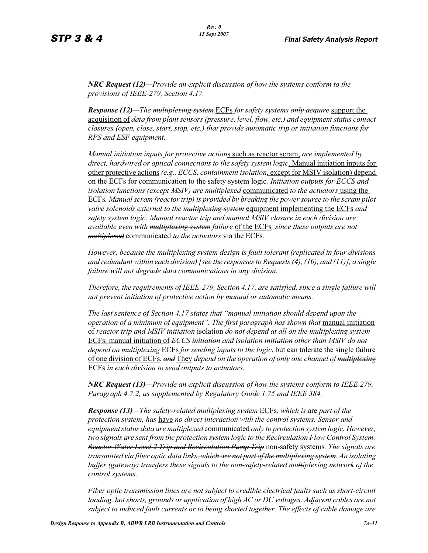*NRC Request (12)—Provide an explicit discussion of how the systems conform to the provisions of IEEE-279, Section 4.17.* 

*Response (12)—The multiplexing system* ECFs *for safety systems only acquire* support the acquisition of *data from plant sensors (pressure, level, flow, etc.) and equipment status contact closures (open, close, start, stop, etc.) that provide automatic trip or initiation functions for RPS and ESF equipment.* 

*Manual initiation inputs for protective action*s such as reactor scram, *are implemented by direct, hardwired or optical connections to the safety system logic*. Manual initiation inputs for other protective actions *(e.g., ECCS, containment isolation*, except for MSIV isolation) depend on the ECFs for communication to the safety system logic*. Initiation outputs for ECCS and isolation functions (except MSIV) are multiplexed* communicated *to the actuators* using the ECFs*. Manual scram (reactor trip) is provided by breaking the power source to the scram pilot valve solenoids external to the multiplexing system* equipment implementing the ECFs *and safety system logic. Manual reactor trip and manual MSIV closure in each division are available even with multiplexing system failure* of the ECFs*, since these outputs are not multiplexed* communicated *to the actuators* via the ECFs*.* 

*However, because the multiplexing system design is fault tolerant (replicated in four divisions and redundant within each division) [see the responses to Requests (4), (10), and (11)], a single failure will not degrade data communications in any division.* 

*Therefore, the requirements of IEEE-279, Section 4.17, are satisfied, since a single failure will not prevent initiation of protective action by manual or automatic means.* 

*The last sentence of Section 4.17 states that "manual initiation should depend upon the operation of a minimum of equipment". The first paragraph has shown that manual initiation* of *reactor trip and MSIV initiation* isolation *do not depend at all on the multiplexing system* ECFs. manual initiation of *ECCS initiation and isolation initiation other than MSIV do not depend on multiplexing* ECFs *for sending inputs to the logic*, but can tolerate the single failure of one division of ECFs*. and* They *depend on the operation of only one channel of multiplexing* ECFs *in each division to send outputs to actuators.* 

*NRC Request (13)—Provide an explicit discussion of how the systems conform to IEEE 279, Paragraph 4.7.2, as supplemented by Regulatory Guide 1.75 and IEEE 384.*

*Response (13)—The safety-related multiplexing system* ECFs*, which is* are *part of the protection system, has* have *no direct interaction with the control systems. Sensor and equipment status data are multiplexed* communicated *only to protection system logic. However, two signals are sent from the protection system logic to the Recirculation Flow Control System: Reactor Water Level 2 Trip and Recirculation Pump Trip* non-safety systems*. The signals are transmitted via fiber optic data links, which are not part of the multiplexing system. An isolating buffer (gateway) transfers these signals to the non-safety-related multiplexing network of the control systems.* 

*Fiber optic transmission lines are not subject to credible electrical faults such as short-circuit loading, hot shorts, grounds or application of high AC or DC voltages. Adjacent cables are not subject to induced fault currents or to being shorted together. The effects of cable damage are*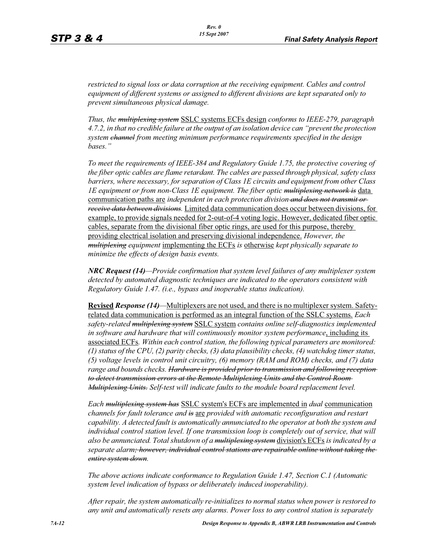*restricted to signal loss or data corruption at the receiving equipment. Cables and control equipment of different systems or assigned to different divisions are kept separated only to prevent simultaneous physical damage.* 

*Thus, the multiplexing system* SSLC systems ECFs design *conforms to IEEE-279, paragraph 4.7.2, in that no credible failure at the output of an isolation device can "prevent the protection system channel from meeting minimum performance requirements specified in the design bases."*

*To meet the requirements of IEEE-384 and Regulatory Guide 1.75, the protective covering of the fiber optic cables are flame retardant. The cables are passed through physical, safety class barriers, where necessary, for separation of Class 1E circuits and equipment from other Class 1E equipment or from non-Class 1E equipment. The fiber optic multiplexing network is data* communication paths are *independent in each protection division and does not transmit or receive data between divisions.* Limited data communication does occur between divisions, for example, to provide signals needed for 2-out-of-4 voting logic. However, dedicated fiber optic cables, separate from the divisional fiber optic rings, are used for this purpose, thereby providing electrical isolation and preserving divisional independence. *However, the multiplexing equipment* implementing the ECFs *is* otherwise *kept physically separate to minimize the effects of design basis events.* 

*NRC Request (14)—Provide confirmation that system level failures of any multiplexer system detected by automated diagnostic techniques are indicated to the operators consistent with Regulatory Guide 1.47. (i.e., bypass and inoperable status indication).*

**Revised** *Response (14)—*Multiplexers are not used, and there is no multiplexer system. Safetyrelated data communication is performed as an integral function of the SSLC systems. *Each safety-related multiplexing system* SSLC system *contains online self-diagnostics implemented in software and hardware that will continuously monitor system performance*, including its associated ECFs*. Within each control station, the following typical parameters are monitored: (1) status of the CPU, (2) parity checks, (3) data plausibility checks, (4) watchdog timer status, (5) voltage levels in control unit circuitry, (6) memory (RAM and ROM) checks, and (7) data range and bounds checks. Hardware is provided prior to transmission and following reception to detect transmission errors at the Remote Multiplexing Units and the Control Room Multiplexing Units. Self-test will indicate faults to the module board replacement level.* 

*Each multiplexing system has* SSLC system's ECFs are implemented in *dual* communication *channels for fault tolerance and is* are *provided with automatic reconfiguration and restart capability. A detected fault is automatically annunciated to the operator at both the system and individual control station level. If one transmission loop is completely out of service, that will also be annunciated. Total shutdown of a multiplexing system* division's ECFs *is indicated by a separate alarm; however, individual control stations are repairable online without taking the entire system down.* 

*The above actions indicate conformance to Regulation Guide 1.47, Section C.1 (Automatic system level indication of bypass or deliberately induced inoperability).* 

*After repair, the system automatically re-initializes to normal status when power is restored to any unit and automatically resets any alarms. Power loss to any control station is separately*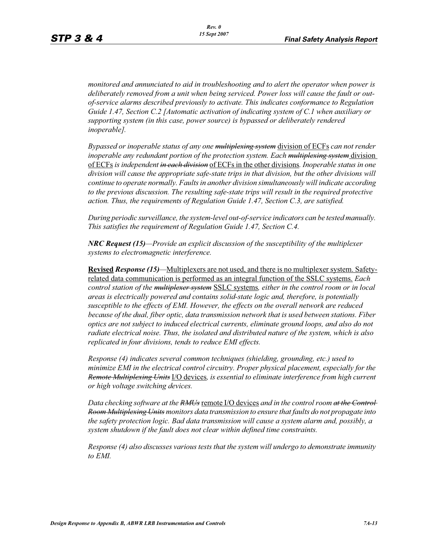*monitored and annunciated to aid in troubleshooting and to alert the operator when power is deliberately removed from a unit when being serviced. Power loss will cause the fault or outof-service alarms described previously to activate. This indicates conformance to Regulation Guide 1.47, Section C.2 [Automatic activation of indicating system of C.1 when auxiliary or supporting system (in this case, power source) is bypassed or deliberately rendered inoperable].* 

*Bypassed or inoperable status of any one multiplexing system* division of ECFs *can not render inoperable any redundant portion of the protection system. Each multiplexing system* division of ECFs *is independent in each division* of ECFs in the other divisions*. Inoperable status in one division will cause the appropriate safe-state trips in that division, but the other divisions will continue to operate normally. Faults in another division simultaneously will indicate according to the previous discussion. The resulting safe-state trips will result in the required protective action. Thus, the requirements of Regulation Guide 1.47, Section C.3, are satisfied.* 

*During periodic surveillance, the system-level out-of-service indicators can be tested manually. This satisfies the requirement of Regulation Guide 1.47, Section C.4.* 

*NRC Request (15)—Provide an explicit discussion of the susceptibility of the multiplexer systems to electromagnetic interference.*

**Revised** *Response (15)—*Multiplexers are not used, and there is no multiplexer system. Safetyrelated data communication is performed as an integral function of the SSLC systems. *Each control station of the multiplexer system* SSLC systems*, either in the control room or in local areas is electrically powered and contains solid-state logic and, therefore, is potentially susceptible to the effects of EMI. However, the effects on the overall network are reduced because of the dual, fiber optic, data transmission network that is used between stations. Fiber optics are not subject to induced electrical currents, eliminate ground loops, and also do not radiate electrical noise. Thus, the isolated and distributed nature of the system, which is also replicated in four divisions, tends to reduce EMI effects.* 

*Response (4) indicates several common techniques (shielding, grounding, etc.) used to minimize EMI in the electrical control circuitry. Proper physical placement, especially for the Remote Multiplexing Units* I/O devices*, is essential to eliminate interference from high current or high voltage switching devices.* 

*Data checking software at the RMUs* remote I/O devices and in the control room at the Control-*Room Multiplexing Units monitors data transmission to ensure that faults do not propagate into the safety protection logic. Bad data transmission will cause a system alarm and, possibly, a system shutdown if the fault does not clear within defined time constraints.* 

*Response (4) also discusses various tests that the system will undergo to demonstrate immunity to EMI.*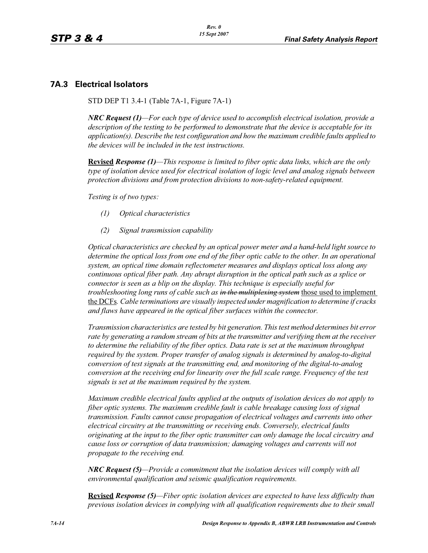### **7A.3 Electrical Isolators**

STD DEP T1 3.4-1 (Table 7A-1, Figure 7A-1)

*NRC Request (1)—For each type of device used to accomplish electrical isolation, provide a description of the testing to be performed to demonstrate that the device is acceptable for its application(s). Describe the test configuration and how the maximum credible faults applied to the devices will be included in the test instructions.*

**Revised** *Response (1)—This response is limited to fiber optic data links, which are the only type of isolation device used for electrical isolation of logic level and analog signals between protection divisions and from protection divisions to non-safety-related equipment.* 

*Testing is of two types:*

- *(1) Optical characteristics*
- *(2) Signal transmission capability*

*Optical characteristics are checked by an optical power meter and a hand-held light source to determine the optical loss from one end of the fiber optic cable to the other. In an operational system, an optical time domain reflectometer measures and displays optical loss along any continuous optical fiber path. Any abrupt disruption in the optical path such as a splice or connector is seen as a blip on the display. This technique is especially useful for troubleshooting long runs of cable such as in the multiplexing system* those used to implement the DCFs*. Cable terminations are visually inspected under magnification to determine if cracks and flaws have appeared in the optical fiber surfaces within the connector.* 

*Transmission characteristics are tested by bit generation. This test method determines bit error rate by generating a random stream of bits at the transmitter and verifying them at the receiver to determine the reliability of the fiber optics. Data rate is set at the maximum throughput required by the system. Proper transfer of analog signals is determined by analog-to-digital conversion of test signals at the transmitting end, and monitoring of the digital-to-analog conversion at the receiving end for linearity over the full scale range. Frequency of the test signals is set at the maximum required by the system.* 

*Maximum credible electrical faults applied at the outputs of isolation devices do not apply to fiber optic systems. The maximum credible fault is cable breakage causing loss of signal transmission. Faults cannot cause propagation of electrical voltages and currents into other electrical circuitry at the transmitting or receiving ends. Conversely, electrical faults originating at the input to the fiber optic transmitter can only damage the local circuitry and cause loss or corruption of data transmission; damaging voltages and currents will not propagate to the receiving end.* 

*NRC Request (5)—Provide a commitment that the isolation devices will comply with all environmental qualification and seismic qualification requirements.*

**Revised** *Response (5)—Fiber optic isolation devices are expected to have less difficulty than previous isolation devices in complying with all qualification requirements due to their small*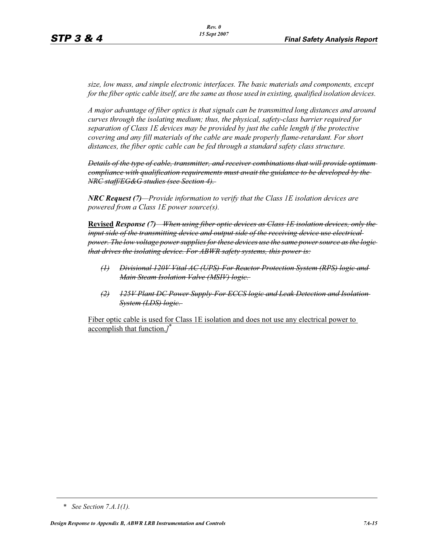*size, low mass, and simple electronic interfaces. The basic materials and components, except for the fiber optic cable itself, are the same as those used in existing, qualified isolation devices.* 

*A major advantage of fiber optics is that signals can be transmitted long distances and around curves through the isolating medium; thus, the physical, safety-class barrier required for separation of Class 1E devices may be provided by just the cable length if the protective covering and any fill materials of the cable are made properly flame-retardant. For short distances, the fiber optic cable can be fed through a standard safety class structure.* 

*Details of the type of cable, transmitter, and receiver combinations that will provide optimum compliance with qualification requirements must await the guidance to be developed by the NRC staff/EG&G studies (see Section 4).* 

*NRC Request (7)—Provide information to verify that the Class 1E isolation devices are powered from a Class 1E power source(s).*

**Revised** *Response (7)—When using fiber optic devices as Class 1E isolation devices, only the input side of the transmitting device and output side of the receiving device use electrical power. The low voltage power supplies for these devices use the same power source as the logic that drives the isolating device. For ABWR safety systems, this power is:*

- *(1) Divisional 120V Vital AC (UPS)-For Reactor Protection System (RPS) logic and Main Steam Isolation Valve (MSIV) logic.*
- *(2) 125V Plant DC Power Supply-For ECCS logic and Leak Detection and Isolation System (LDS) logic.*

Fiber optic cable is used for Class 1E isolation and does not use any electrical power to accomplish that function.*]* \*

*<sup>\*</sup> See Section 7.A.1(1).*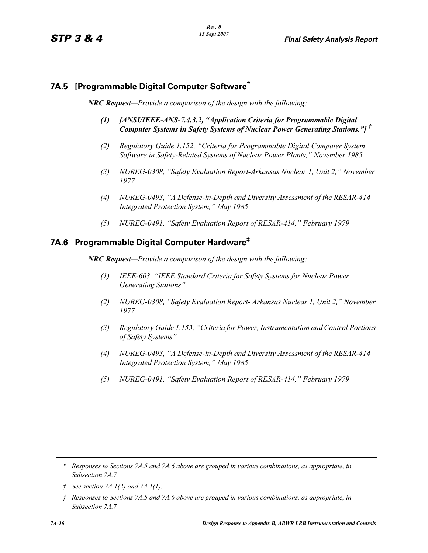## **7A.5 [Programmable Digital Computer Software\***

*NRC Request—Provide a comparison of the design with the following:*

- *(1) [ANSI/IEEE-ANS-7.4.3.2, "Application Criteria for Programmable Digital Computer Systems in Safety Systems of Nuclear Power Generating Stations."] †*
- *(2) Regulatory Guide 1.152, "Criteria for Programmable Digital Computer System Software in Safety-Related Systems of Nuclear Power Plants," November 1985*
- *(3) NUREG-0308, "Safety Evaluation Report-Arkansas Nuclear 1, Unit 2," November 1977*
- *(4) NUREG-0493, "A Defense-in-Depth and Diversity Assessment of the RESAR-414 Integrated Protection System," May 1985*
- *(5) NUREG-0491, "Safety Evaluation Report of RESAR-414," February 1979*

# **7A.6 Programmable Digital Computer Hardware‡**

*NRC Request—Provide a comparison of the design with the following:*

- *(1) IEEE-603, "IEEE Standard Criteria for Safety Systems for Nuclear Power Generating Stations"*
- *(2) NUREG-0308, "Safety Evaluation Report- Arkansas Nuclear 1, Unit 2," November 1977*
- *(3) Regulatory Guide 1.153, "Criteria for Power, Instrumentation and Control Portions of Safety Systems"*
- *(4) NUREG-0493, "A Defense-in-Depth and Diversity Assessment of the RESAR-414 Integrated Protection System," May 1985*
- *(5) NUREG-0491, "Safety Evaluation Report of RESAR-414," February 1979*

*<sup>\*</sup> Responses to Sections 7A.5 and 7A.6 above are grouped in various combinations, as appropriate, in Subsection 7A.7*

*<sup>†</sup> See section 7A.1(2) and 7A.1(1).*

*<sup>‡</sup> Responses to Sections 7A.5 and 7A.6 above are grouped in various combinations, as appropriate, in Subsection 7A.7*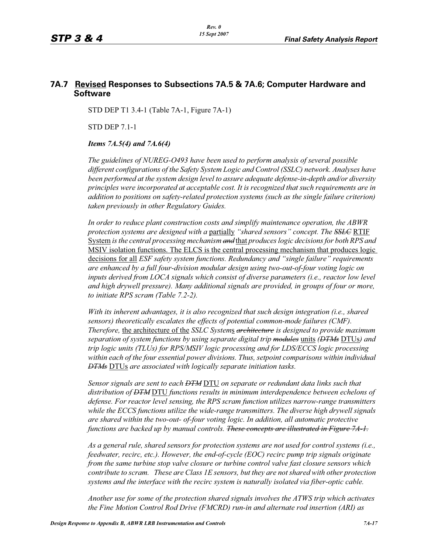## **7A.7 Revised Responses to Subsections 7A.5 & 7A.6; Computer Hardware and Software**

STD DEP T1 3.4-1 (Table 7A-1, Figure 7A-1)

STD DEP 7.1-1

#### *Items 7A.5(4) and 7A.6(4)*

*The guidelines of NUREG-O493 have been used to perform analysis of several possible different configurations of the Safety System Logic and Control (SSLC) network. Analyses have been performed at the system design level to assure adequate defense-in-depth and/or diversity principles were incorporated at acceptable cost. It is recognized that such requirements are in addition to positions on safety-related protection systems (such as the single failure criterion) taken previously in other Regulatory Guides.*

*In order to reduce plant construction costs and simplify maintenance operation, the ABWR protection systems are designed with a* partially *"shared sensors" concept. The SSLC* RTIF System *is the central processing mechanism and* that *produces logic decisions for both RPS and*  MSIV isolation functions. The ELCS is the central processing mechanism that produces logic decisions for all *ESF safety system functions. Redundancy and "single failure" requirements are enhanced by a full four-division modular design using two-out-of-four voting logic on inputs derived from LOCA signals which consist of diverse parameters (i.e., reactor low level and high drywell pressure). Many additional signals are provided, in groups of four or more, to initiate RPS scram (Table 7.2-2).*

*With its inherent advantages, it is also recognized that such design integration (i.e., shared sensors) theoretically escalates the effects of potential common-mode failures (CMF). Therefore,* the architecture of the *SSLC System*s *architecture is designed to provide maximum separation of system functions by using separate digital trip modules* units *(DTMs* DTUs*) and trip logic units (TLUs) for RPS/MSIV logic processing and for LDS/ECCS logic processing within each of the four essential power divisions. Thus, setpoint comparisons within individual DTMs* DTUs *are associated with logically separate initiation tasks.* 

*Sensor signals are sent to each DTM* DTU *on separate or redundant data links such that distribution of DTM* DTU *functions results in minimum interdependence between echelons of defense. For reactor level sensing, the RPS scram function utilizes narrow-range transmitters while the ECCS functions utilize the wide-range transmitters. The diverse high drywell signals are shared within the two-out- of-four voting logic. In addition, all automatic protective functions are backed up by manual controls. These concepts are illustrated in Figure 7A-1.*

*As a general rule, shared sensors for protection systems are not used for control systems (i.e., feedwater, recirc, etc.). However, the end-of-cycle (EOC) recirc pump trip signals originate from the same turbine stop valve closure or turbine control valve fast closure sensors which contribute to scram. These are Class 1E sensors, but they are not shared with other protection systems and the interface with the recirc system is naturally isolated via fiber-optic cable.*

*Another use for some of the protection shared signals involves the ATWS trip which activates the Fine Motion Control Rod Drive (FMCRD) run-in and alternate rod insertion (ARI) as*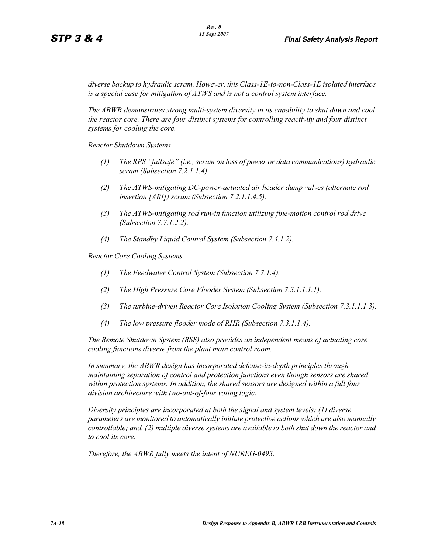*diverse backup to hydraulic scram. However, this Class-1E-to-non-Class-1E isolated interface is a special case for mitigation of ATWS and is not a control system interface.* 

*The ABWR demonstrates strong multi-system diversity in its capability to shut down and cool the reactor core. There are four distinct systems for controlling reactivity and four distinct systems for cooling the core.* 

*Reactor Shutdown Systems*

- *(1) The RPS "failsafe" (i.e., scram on loss of power or data communications) hydraulic scram (Subsection 7.2.1.1.4).*
- *(2) The ATWS-mitigating DC-power-actuated air header dump valves (alternate rod insertion [ARI]) scram (Subsection 7.2.1.1.4.5).*
- *(3) The ATWS-mitigating rod run-in function utilizing fine-motion control rod drive (Subsection 7.7.1.2.2).*
- *(4) The Standby Liquid Control System (Subsection 7.4.1.2).*

*Reactor Core Cooling Systems*

- *(1) The Feedwater Control System (Subsection 7.7.1.4).*
- *(2) The High Pressure Core Flooder System (Subsection 7.3.1.1.1.1).*
- *(3) The turbine-driven Reactor Core Isolation Cooling System (Subsection 7.3.1.1.1.3).*
- *(4) The low pressure flooder mode of RHR (Subsection 7.3.1.1.4).*

*The Remote Shutdown System (RSS) also provides an independent means of actuating core cooling functions diverse from the plant main control room.*

*In summary, the ABWR design has incorporated defense-in-depth principles through maintaining separation of control and protection functions even though sensors are shared within protection systems. In addition, the shared sensors are designed within a full four division architecture with two-out-of-four voting logic.* 

*Diversity principles are incorporated at both the signal and system levels: (1) diverse parameters are monitored to automatically initiate protective actions which are also manually controllable; and, (2) multiple diverse systems are available to both shut down the reactor and to cool its core.* 

*Therefore, the ABWR fully meets the intent of NUREG-0493.*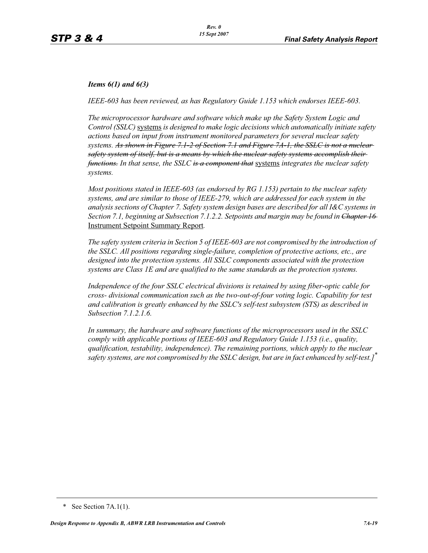#### *Items 6(1) and 6(3)*

*IEEE-603 has been reviewed, as has Regulatory Guide 1.153 which endorses IEEE-603.*

*The microprocessor hardware and software which make up the Safety System Logic and Control (SSLC)* systems *is designed to make logic decisions which automatically initiate safety actions based on input from instrument monitored parameters for several nuclear safety systems. As shown in Figure 7.1-2 of Section 7.1 and Figure 7A-1, the SSLC is not a nuclear safety system of itself, but is a means by which the nuclear safety systems accomplish their functions. In that sense, the SSLC is a component that* systems *integrates the nuclear safety systems.*

*Most positions stated in IEEE-603 (as endorsed by RG 1.153) pertain to the nuclear safety systems, and are similar to those of IEEE-279, which are addressed for each system in the analysis sections of Chapter 7. Safety system design bases are described for all I&C systems in Section 7.1, beginning at Subsection 7.1.2.2. Setpoints and margin may be found in Chapter 16*  Instrument Setpoint Summary Report*.*

*The safety system criteria in Section 5 of IEEE-603 are not compromised by the introduction of the SSLC. All positions regarding single-failure, completion of protective actions, etc., are designed into the protection systems. All SSLC components associated with the protection systems are Class 1E and are qualified to the same standards as the protection systems.*

*Independence of the four SSLC electrical divisions is retained by using fiber-optic cable for cross- divisional communication such as the two-out-of-four voting logic. Capability for test and calibration is greatly enhanced by the SSLC's self-test subsystem (STS) as described in Subsection 7.1.2.1.6.*

*In summary, the hardware and software functions of the microprocessors used in the SSLC comply with applicable portions of IEEE-603 and Regulatory Guide 1.153 (i.e., quality, qualification, testability, independence). The remaining portions, which apply to the nuclear safety systems, are not compromised by the SSLC design, but are in fact enhanced by self-test.]\**

<sup>\*</sup> See Section 7A.1(1).